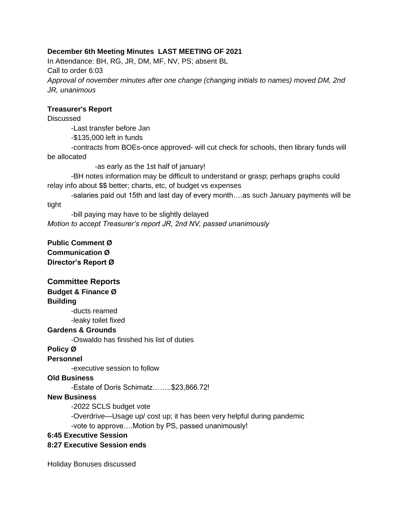### **December 6th Meeting Minutes LAST MEETING OF 2021**

In Attendance: BH, RG, JR, DM, MF, NV, PS; absent BL Call to order 6:03 *Approval of november minutes after one change (changing initials to names) moved DM, 2nd JR, unanimous*

#### **Treasurer's Report**

**Discussed** 

-Last transfer before Jan

-\$135,000 left in funds

-contracts from BOEs-once approved- will cut check for schools, then library funds will be allocated

-as early as the 1st half of january!

-BH notes information may be difficult to understand or grasp; perhaps graphs could relay info about \$\$ better; charts, etc, of budget vs expenses

-salaries paid out 15th and last day of every month….as such January payments will be tight

-bill paying may have to be slightly delayed *Motion to accept Treasurer's report JR, 2nd NV, passed unanimously*

**Public Comment Ø Communication Ø Director's Report Ø**

## **Committee Reports**

## **Budget & Finance Ø**

**Building** 

-ducts reamed -leaky toilet fixed

#### **Gardens & Grounds**

-Oswaldo has finished his list of duties

# **Policy Ø**

**Personnel**

-executive session to follow

#### **Old Business**

-Estate of Doris Schimatz……..\$23,866.72!

#### **New Business**

-2022 SCLS budget vote

-Overdrive—Usage up/ cost up; it has been very helpful during pandemic -vote to approve….Motion by PS, passed unanimously!

### **6:45 Executive Session**

#### **8:27 Executive Session ends**

Holiday Bonuses discussed